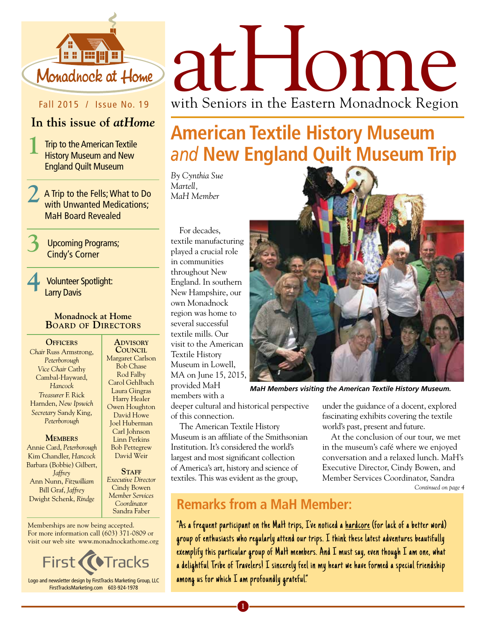

#### Fall 2015 / Issue No. 19

#### **In this issue of** *atHome*

**1** Trip to the American Textile History Museum and New England Quilt Museum

**2** A Trip to the Fells; What to Do with Unwanted Medications; MaH Board Revealed

**3** Upcoming Programs; Cindy's Corner

**4** Volunteer Spotlight: Larry Davis

#### **Monadnock at Home Board of Directors**

**Officers** *Chair* Russ Armstrong, *Peterborough Vice Chair* Cathy Cambal-Hayward, *Hancock Treasurer* F. Rick Harnden, *New Ipswich Secretary* Sandy King, *Peterborough*

#### **MEMBERS**

Annie Card, *Peterborough* Kim Chandler, *Hancock* Barbara (Bobbie) Gilbert, *Jaffrey* Ann Nunn, *Fitzwilliam* Bill Graf, *Jaffrey* Dwight Schenk, *Rindge*

**Advisory Council** Margaret Carlson Bob Chase Rod Falby Carol Gehlbach Laura Gingras Harry Healer Owen Houghton David Howe Joel Huberman Carl Johnson Linn Perkins Bob Pettegrew David Weir

STAFF *Executive Director* Cindy Bowen *Member Services Coordinator*  Sandra Faber

Memberships are now being accepted. For more information call (603) 371-0809 or visit our web site www.monadnockathome.org



FirstTracksMarketing.com 603-924-1978

# Monadhock at Home at Home with Seniors in the Eastern Monadnock Region

## **American Textile History Museum**  *and* **New England Quilt Museum Trip**

*By Cynthia Sue Martell, MaH Member*

For decades, textile manufacturing played a crucial role in communities throughout New England. In southern New Hampshire, our own Monadnock region was home to several successful textile mills. Our visit to the American Textile History Museum in Lowell, MA on June 15, 2015, provided MaH members with a



*MaH Members visiting the American Textile History Museum.*

deeper cultural and historical perspective of this connection.

The American Textile History Museum is an affiliate of the Smithsonian Institution. It's considered the world's largest and most significant collection of America's art, history and science of textiles. This was evident as the group,

under the guidance of a docent, explored fascinating exhibits covering the textile world's past, present and future.

At the conclusion of our tour, we met in the museum's café where we enjoyed conversation and a relaxed lunch. MaH's Executive Director, Cindy Bowen, and Member Services Coordinator, Sandra *Continued on page 4*

### **Remarks from a MaH Member:**

"As a frequent participant on the MaH trips, I've noticed a hardcore (for lack of a better word) group of enthusiasts who regularly attend our trips. I think these latest adventures beautifully exemplify this particular group of MaH members. And I must say, even though I am one, what a delightful Tribe of Travelers! I sincerely feel in my heart we have formed a special friendship among us for which I am profoundly grateful."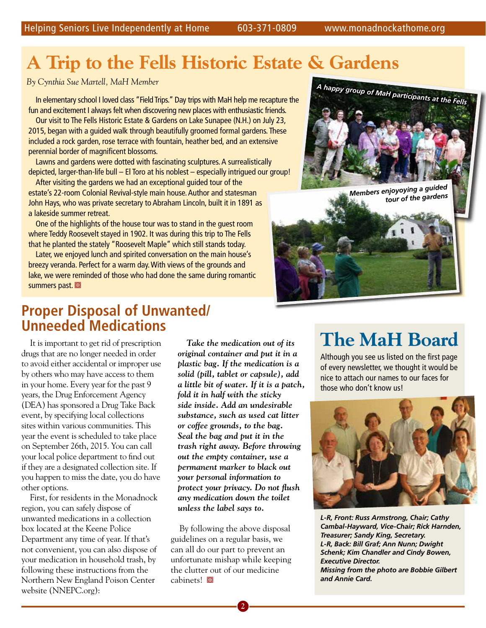## **A Trip to the Fells Historic Estate & Gardens**

In elementary school I loved class "Field Trips." Day trips with MaH help me recapture the fun and excitement I always felt when discovering new places with enthusiastic friends.

Our visit to The Fells Historic Estate & Gardens on Lake Sunapee (N.H.) on July 23, 2015, began with a guided walk through beautifully groomed formal gardens. These included a rock garden, rose terrace with fountain, heather bed, and an extensive perennial border of magnificent blossoms.

Lawns and gardens were dotted with fascinating sculptures. A surrealistically depicted, larger-than-life bull – El Toro at his noblest – especially intrigued our group!

After visiting the gardens we had an exceptional guided tour of the estate's 22-room Colonial Revival-style main house. Author and statesman John Hays, who was private secretary to Abraham Lincoln, built it in 1891 as a lakeside summer retreat.

One of the highlights of the house tour was to stand in the guest room where Teddy Roosevelt stayed in 1902. It was during this trip to The Fells that he planted the stately "Roosevelt Maple" which still stands today.

Later, we enjoyed lunch and spirited conversation on the main house's breezy veranda. Perfect for a warm day. With views of the grounds and lake, we were reminded of those who had done the same during romantic summers past.



*Members enjoyoying a guided tour of the gardens*

### **Proper Disposal of Unwanted/ Unneeded Medications**

It is important to get rid of prescription drugs that are no longer needed in order to avoid either accidental or improper use by others who may have access to them in your home. Every year for the past 9 years, the Drug Enforcement Agency (DEA) has sponsored a Drug Take Back event, by specifying local collections sites within various communities. This year the event is scheduled to take place on September 26th, 2015. You can call your local police department to find out if they are a designated collection site. If you happen to miss the date, you do have other options.

First, for residents in the Monadnock region, you can safely dispose of unwanted medications in a collection box located at the Keene Police Department any time of year. If that's not convenient, you can also dispose of your medication in household trash, by following these instructions from the Northern New England Poison Center website (NNEPC.org):

*Take the medication out of its original container and put it in a plastic bag. If the medication is a solid (pill, tablet or capsule), add a little bit of water. If it is a patch, fold it in half with the sticky side inside. Add an undesirable substance, such as used cat litter or coffee grounds, to the bag. Seal the bag and put it in the trash right away. Before throwing out the empty container, use a permanent marker to black out your personal information to protect your privacy. Do not flush any medication down the toilet unless the label says to.*

By following the above disposal guidelines on a regular basis, we can all do our part to prevent an unfortunate mishap while keeping the clutter out of our medicine cabinets!

## **The MaH Board**

Although you see us listed on the first page of every newsletter, we thought it would be nice to attach our names to our faces for those who don't know us!



*L-R, Front: Russ Armstrong, Chair; Cathy Cambal-Hayward, Vice-Chair; Rick Harnden, Treasurer; Sandy King, Secretary. L-R, Back: Bill Graf; Ann Nunn; Dwight Schenk; Kim Chandler and Cindy Bowen, Executive Director. Missing from the photo are Bobbie Gilbert and Annie Card.*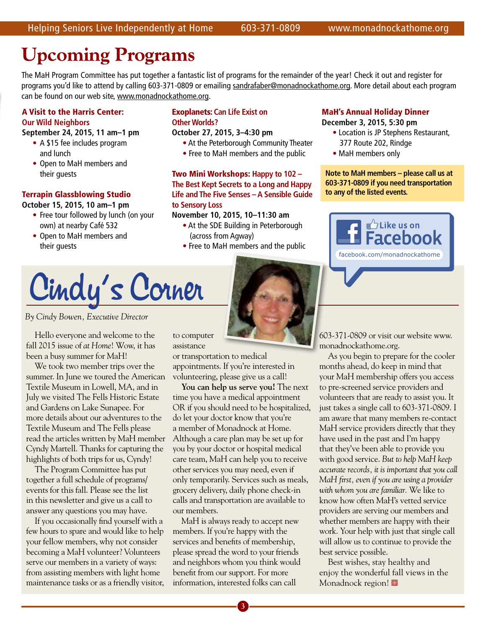## **Upcoming Programs**

The MaH Program Committee has put together a fantastic list of programs for the remainder of the year! Check it out and register for programs you'd like to attend by calling 603-371-0809 or emailing sandrafaber@monadnockathome.org. More detail about each program can be found on our web site, www.monadnockathome.org.

#### A Visit to the Harris Center: **Our Wild Neighbors**

**September 24, 2015, 11 am–1 pm** 

- A \$15 fee includes program and lunch
- Open to MaH members and their guests

#### Terrapin Glassblowing Studio

**October 15, 2015, 10 am–1 pm**

- Free tour followed by lunch (on your own) at nearby Café 532
- Open to MaH members and their guests

#### Exoplanets: **Can Life Exist on Other Worlds?**

#### **October 27, 2015, 3–4:30 pm**

- At the Peterborough Community Theater
- Free to MaH members and the public

Two Mini Workshops: **Happy to 102 – The Best Kept Secrets to a Long and Happy Life and The Five Senses – A Sensible Guide to Sensory Loss**

#### **November 10, 2015, 10–11:30 am**

- At the SDE Building in Peterborough (across from Agway)
- Free to MaH members and the public

#### MaH's Annual Holiday Dinner

**December 3, 2015, 5:30 pm**

- Location is JP Stephens Restaurant, 377 Route 202, Rindge
- MaH members only

**Note to MaH members – please call us at 603-371-0809 if you need transportation to any of the listed events.**



# Cindy's Corner

*By Cindy Bowen, Executive Director* 

Hello everyone and welcome to the fall 2015 issue of *at Home*! Wow, it has been a busy summer for MaH!

We took two member trips over the summer. In June we toured the American Textile Museum in Lowell, MA, and in July we visited The Fells Historic Estate and Gardens on Lake Sunapee. For more details about our adventures to the Textile Museum and The Fells please read the articles written by MaH member Cyndy Martell. Thanks for capturing the highlights of both trips for us, Cyndy!

The Program Committee has put together a full schedule of programs/ events for this fall. Please see the list in this newsletter and give us a call to answer any questions you may have.

If you occasionally find yourself with a few hours to spare and would like to help your fellow members, why not consider becoming a MaH volunteer? Volunteers serve our members in a variety of ways: from assisting members with light home maintenance tasks or as a friendly visitor, to computer assistance

or transportation to medical appointments. If you're interested in volunteering, please give us a call!

**You can help us serve you!** The next time you have a medical appointment OR if you should need to be hospitalized, do let your doctor know that you're a member of Monadnock at Home. Although a care plan may be set up for you by your doctor or hospital medical care team, MaH can help you to receive other services you may need, even if only temporarily. Services such as meals, grocery delivery, daily phone check-in calls and transportation are available to our members.

MaH is always ready to accept new members. If you're happy with the services and benefits of membership, please spread the word to your friends and neighbors whom you think would benefit from our support. For more information, interested folks can call

**3**

603-371-0809 or visit our website www. monadnockathome.org.

As you begin to prepare for the cooler months ahead, do keep in mind that your MaH membership offers you access to pre-screened service providers and volunteers that are ready to assist you. It just takes a single call to 603-371-0809. I am aware that many members re-contact MaH service providers directly that they have used in the past and I'm happy that they've been able to provide you with good service. *But to help MaH keep accurate records, it is important that you call MaH first, even if you are using a provider with whom you are familiar.* We like to know how often MaH's vetted service providers are serving our members and whether members are happy with their work. Your help with just that single call will allow us to continue to provide the best service possible.

Best wishes, stay healthy and enjoy the wonderful fall views in the Monadnock region!